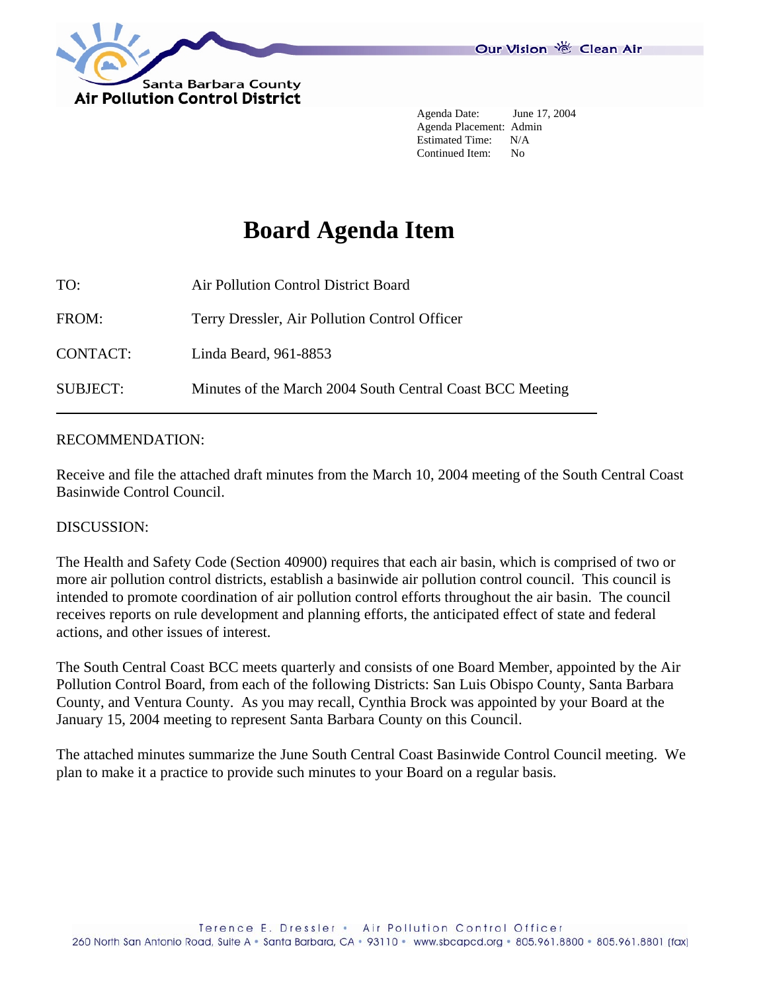

 Agenda Date: June 17, 2004 Agenda Placement: Admin Estimated Time: N/A Continued Item: No

# **Board Agenda Item**

| TO:             | Air Pollution Control District Board                      |  |
|-----------------|-----------------------------------------------------------|--|
| FROM:           | Terry Dressler, Air Pollution Control Officer             |  |
| <b>CONTACT:</b> | Linda Beard, 961-8853                                     |  |
| <b>SUBJECT:</b> | Minutes of the March 2004 South Central Coast BCC Meeting |  |

### RECOMMENDATION:

Receive and file the attached draft minutes from the March 10, 2004 meeting of the South Central Coast Basinwide Control Council.

### DISCUSSION:

The Health and Safety Code (Section 40900) requires that each air basin, which is comprised of two or more air pollution control districts, establish a basinwide air pollution control council. This council is intended to promote coordination of air pollution control efforts throughout the air basin. The council receives reports on rule development and planning efforts, the anticipated effect of state and federal actions, and other issues of interest.

The South Central Coast BCC meets quarterly and consists of one Board Member, appointed by the Air Pollution Control Board, from each of the following Districts: San Luis Obispo County, Santa Barbara County, and Ventura County. As you may recall, Cynthia Brock was appointed by your Board at the January 15, 2004 meeting to represent Santa Barbara County on this Council.

The attached minutes summarize the June South Central Coast Basinwide Control Council meeting. We plan to make it a practice to provide such minutes to your Board on a regular basis.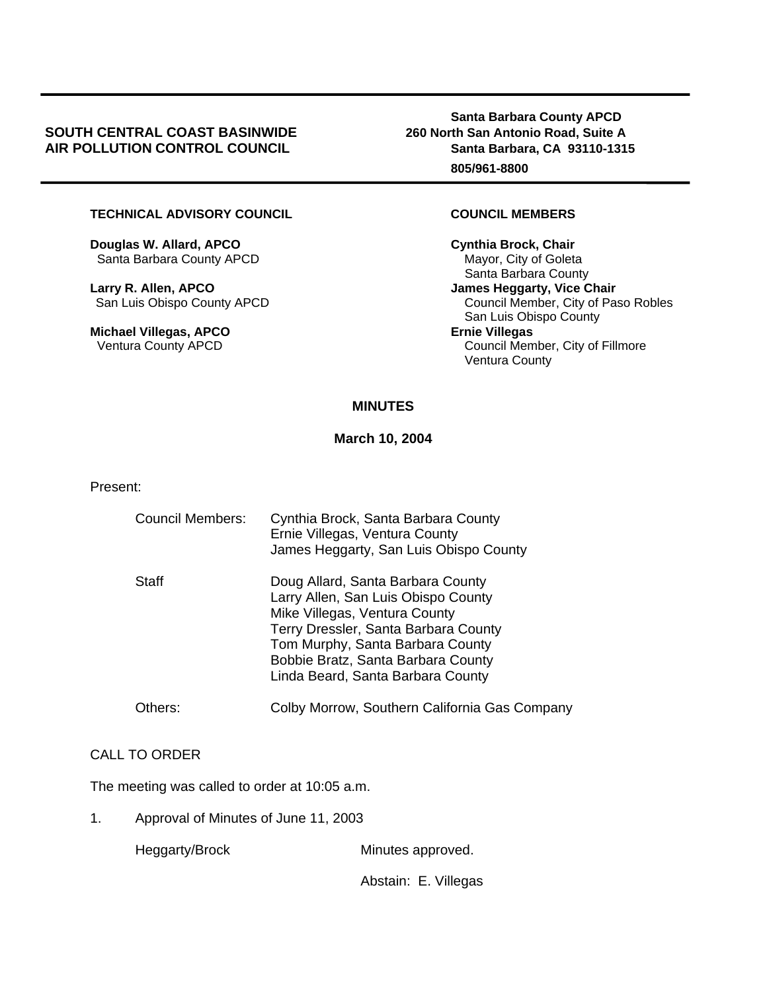### **SOUTH CENTRAL COAST BASINWIDE 260 North San Antonio Road, Suite A**  AIR POLLUTION CONTROL COUNCIL **Santa Barbara, CA 93110-1315**

 **Santa Barbara County APCD 805/961-8800** 

### **TECHNICAL ADVISORY COUNCIL COUNCIL MEMBERS**

**Douglas W. Allard, APCO Cynthia Brock, Chair**  Santa Barbara County APCD Mayor, City of Goleta

**Larry R. Allen, APCO** *CONDER 18 (CONDER 18)**James Heggarty, Vice Chair**James Heggarty***, Vice Chair** 

**Michael Villegas, APCO Ernie Villegas**<br>
Ventura County APCD **Example 20 Council Mem** 

 Santa Barbara County San Luis Obispo County APCD Council Member, City of Paso Robles San Luis Obispo County Council Member, City of Fillmore Ventura County

## **MINUTES**

**March 10, 2004** 

Present:

| <b>Council Members:</b> | Cynthia Brock, Santa Barbara County<br>Ernie Villegas, Ventura County<br>James Heggarty, San Luis Obispo County                                                                                                                                                  |
|-------------------------|------------------------------------------------------------------------------------------------------------------------------------------------------------------------------------------------------------------------------------------------------------------|
| Staff                   | Doug Allard, Santa Barbara County<br>Larry Allen, San Luis Obispo County<br>Mike Villegas, Ventura County<br>Terry Dressler, Santa Barbara County<br>Tom Murphy, Santa Barbara County<br>Bobbie Bratz, Santa Barbara County<br>Linda Beard, Santa Barbara County |
| Others:                 | Colby Morrow, Southern California Gas Company                                                                                                                                                                                                                    |

#### CALL TO ORDER

The meeting was called to order at 10:05 a.m.

1. Approval of Minutes of June 11, 2003

Heggarty/Brock Minutes approved.

Abstain: E. Villegas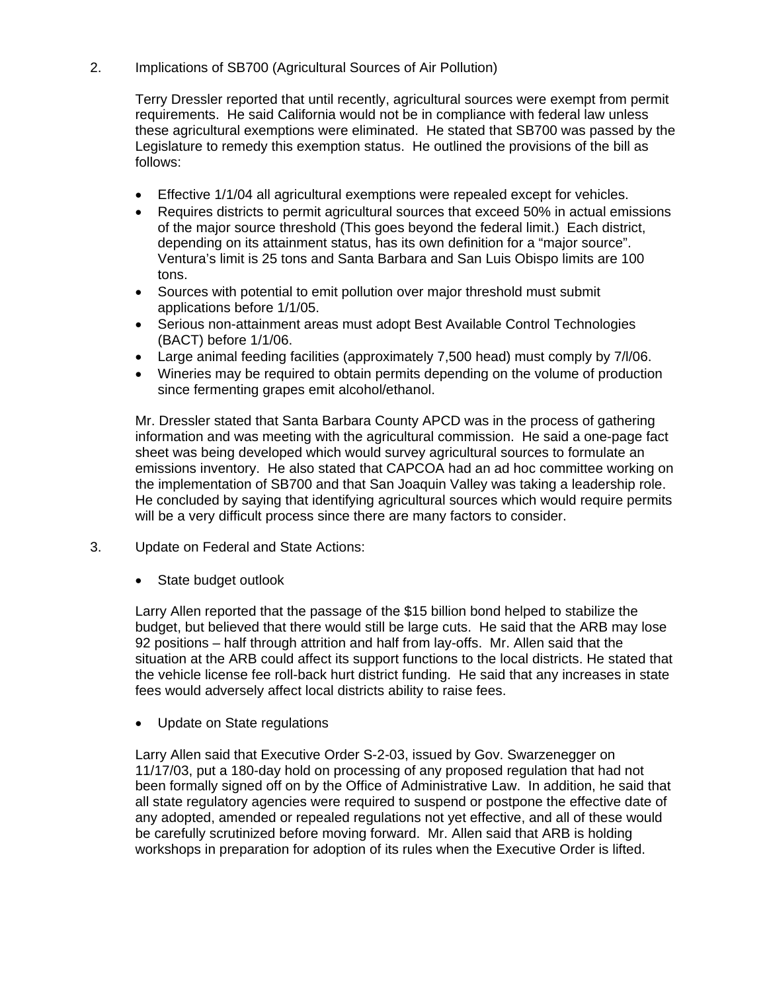2. Implications of SB700 (Agricultural Sources of Air Pollution)

Terry Dressler reported that until recently, agricultural sources were exempt from permit requirements. He said California would not be in compliance with federal law unless these agricultural exemptions were eliminated. He stated that SB700 was passed by the Legislature to remedy this exemption status. He outlined the provisions of the bill as follows:

- Effective 1/1/04 all agricultural exemptions were repealed except for vehicles.
- Requires districts to permit agricultural sources that exceed 50% in actual emissions of the major source threshold (This goes beyond the federal limit.) Each district, depending on its attainment status, has its own definition for a "major source". Ventura's limit is 25 tons and Santa Barbara and San Luis Obispo limits are 100 tons.
- Sources with potential to emit pollution over major threshold must submit applications before 1/1/05.
- Serious non-attainment areas must adopt Best Available Control Technologies (BACT) before 1/1/06.
- Large animal feeding facilities (approximately 7,500 head) must comply by 7/l/06.
- Wineries may be required to obtain permits depending on the volume of production since fermenting grapes emit alcohol/ethanol.

Mr. Dressler stated that Santa Barbara County APCD was in the process of gathering information and was meeting with the agricultural commission. He said a one-page fact sheet was being developed which would survey agricultural sources to formulate an emissions inventory. He also stated that CAPCOA had an ad hoc committee working on the implementation of SB700 and that San Joaquin Valley was taking a leadership role. He concluded by saying that identifying agricultural sources which would require permits will be a very difficult process since there are many factors to consider.

- 3. Update on Federal and State Actions:
	- State budget outlook

Larry Allen reported that the passage of the \$15 billion bond helped to stabilize the budget, but believed that there would still be large cuts. He said that the ARB may lose 92 positions – half through attrition and half from lay-offs. Mr. Allen said that the situation at the ARB could affect its support functions to the local districts. He stated that the vehicle license fee roll-back hurt district funding. He said that any increases in state fees would adversely affect local districts ability to raise fees.

• Update on State regulations

Larry Allen said that Executive Order S-2-03, issued by Gov. Swarzenegger on 11/17/03, put a 180-day hold on processing of any proposed regulation that had not been formally signed off on by the Office of Administrative Law. In addition, he said that all state regulatory agencies were required to suspend or postpone the effective date of any adopted, amended or repealed regulations not yet effective, and all of these would be carefully scrutinized before moving forward. Mr. Allen said that ARB is holding workshops in preparation for adoption of its rules when the Executive Order is lifted.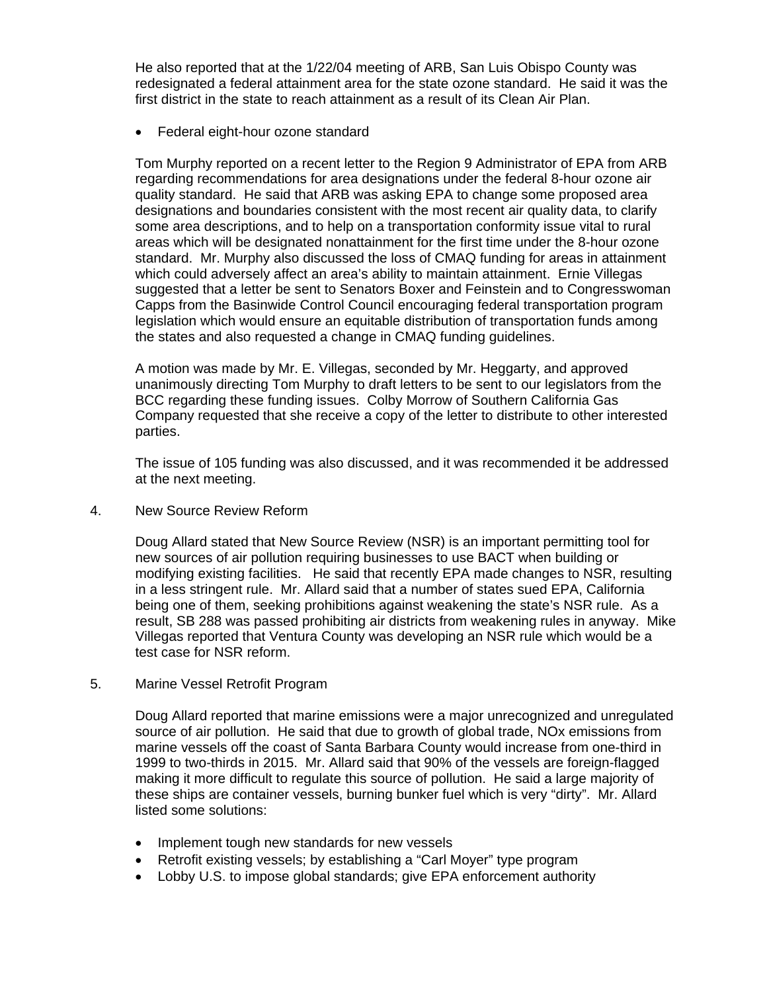He also reported that at the 1/22/04 meeting of ARB, San Luis Obispo County was redesignated a federal attainment area for the state ozone standard. He said it was the first district in the state to reach attainment as a result of its Clean Air Plan.

• Federal eight-hour ozone standard

Tom Murphy reported on a recent letter to the Region 9 Administrator of EPA from ARB regarding recommendations for area designations under the federal 8-hour ozone air quality standard. He said that ARB was asking EPA to change some proposed area designations and boundaries consistent with the most recent air quality data, to clarify some area descriptions, and to help on a transportation conformity issue vital to rural areas which will be designated nonattainment for the first time under the 8-hour ozone standard. Mr. Murphy also discussed the loss of CMAQ funding for areas in attainment which could adversely affect an area's ability to maintain attainment. Ernie Villegas suggested that a letter be sent to Senators Boxer and Feinstein and to Congresswoman Capps from the Basinwide Control Council encouraging federal transportation program legislation which would ensure an equitable distribution of transportation funds among the states and also requested a change in CMAQ funding guidelines.

A motion was made by Mr. E. Villegas, seconded by Mr. Heggarty, and approved unanimously directing Tom Murphy to draft letters to be sent to our legislators from the BCC regarding these funding issues. Colby Morrow of Southern California Gas Company requested that she receive a copy of the letter to distribute to other interested parties.

The issue of 105 funding was also discussed, and it was recommended it be addressed at the next meeting.

4. New Source Review Reform

Doug Allard stated that New Source Review (NSR) is an important permitting tool for new sources of air pollution requiring businesses to use BACT when building or modifying existing facilities. He said that recently EPA made changes to NSR, resulting in a less stringent rule. Mr. Allard said that a number of states sued EPA, California being one of them, seeking prohibitions against weakening the state's NSR rule. As a result, SB 288 was passed prohibiting air districts from weakening rules in anyway. Mike Villegas reported that Ventura County was developing an NSR rule which would be a test case for NSR reform.

5. Marine Vessel Retrofit Program

Doug Allard reported that marine emissions were a major unrecognized and unregulated source of air pollution. He said that due to growth of global trade, NOx emissions from marine vessels off the coast of Santa Barbara County would increase from one-third in 1999 to two-thirds in 2015. Mr. Allard said that 90% of the vessels are foreign-flagged making it more difficult to regulate this source of pollution. He said a large majority of these ships are container vessels, burning bunker fuel which is very "dirty". Mr. Allard listed some solutions:

- Implement tough new standards for new vessels
- Retrofit existing vessels; by establishing a "Carl Moyer" type program
- Lobby U.S. to impose global standards: give EPA enforcement authority